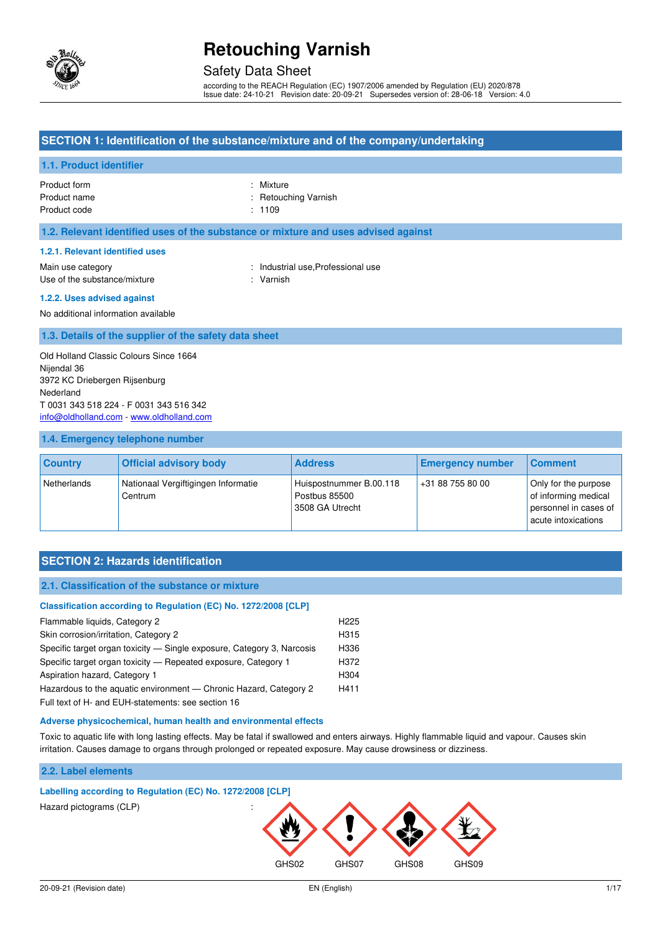

### Safety Data Sheet

according to the REACH Regulation (EC) 1907/2006 amended by Regulation (EU) 2020/878 Issue date: 24-10-21 Revision date: 20-09-21 Supersedes version of: 28-06-18 Version: 4.0

#### **SECTION 1: Identification of the substance/mixture and of the company/undertaking**

#### **1.1. Product identifier**

Product form : Nixture : Nixture Product name  $\qquad \qquad$ : Retouching Varnish Product code : 1109

#### **1.2. Relevant identified uses of the substance or mixture and uses advised against**

#### **1.2.1. Relevant identified uses**

Main use category **Example 20** and the United States of the Industrial use, Professional use Use of the substance/mixture : Varnish

#### **1.2.2. Uses advised against**

No additional information available

#### **1.3. Details of the supplier of the safety data sheet**

Old Holland Classic Colours Since 1664 Nijendal 36 3972 KC Driebergen Rijsenburg Nederland T 0031 343 518 224 - F 0031 343 516 342 [info@oldholland.com](mailto:info@oldholland.com) - [www.oldholland.com](http://www.oldholland.com/)

#### **1.4. Emergency telephone number**

| <b>Country</b> | <b>Official advisory body</b>                  | <b>Address</b>                                              | <b>Emergency number</b> | <b>Comment</b>                                                                               |
|----------------|------------------------------------------------|-------------------------------------------------------------|-------------------------|----------------------------------------------------------------------------------------------|
| Netherlands    | Nationaal Vergiftigingen Informatie<br>Centrum | Huispostnummer B.00.118<br>Postbus 85500<br>3508 GA Utrecht | +31 88 755 80 00        | Only for the purpose<br>of informing medical<br>personnel in cases of<br>acute intoxications |

#### **SECTION 2: Hazards identification**

#### **2.1. Classification of the substance or mixture**

| Classification according to Regulation (EC) No. 1272/2008 [CLP]        |                  |
|------------------------------------------------------------------------|------------------|
| Flammable liquids, Category 2                                          | H <sub>225</sub> |
| Skin corrosion/irritation, Category 2                                  | H315             |
| Specific target organ toxicity — Single exposure, Category 3, Narcosis | H336             |
| Specific target organ toxicity – Repeated exposure, Category 1         | H372             |
| Aspiration hazard, Category 1                                          | H304             |
| Hazardous to the aquatic environment - Chronic Hazard, Category 2      | H411             |
|                                                                        |                  |

Full text of H- and EUH-statements: see section 16

#### **Adverse physicochemical, human health and environmental effects**

Toxic to aquatic life with long lasting effects. May be fatal if swallowed and enters airways. Highly flammable liquid and vapour. Causes skin irritation. Causes damage to organs through prolonged or repeated exposure. May cause drowsiness or dizziness.

#### **2.2. Label elements**

# **Labelling according to Regulation (EC) No. 1272/2008 [CLP]**  Hazard pictograms (CLP) : GHS02 GHS07 GHS08 GHS09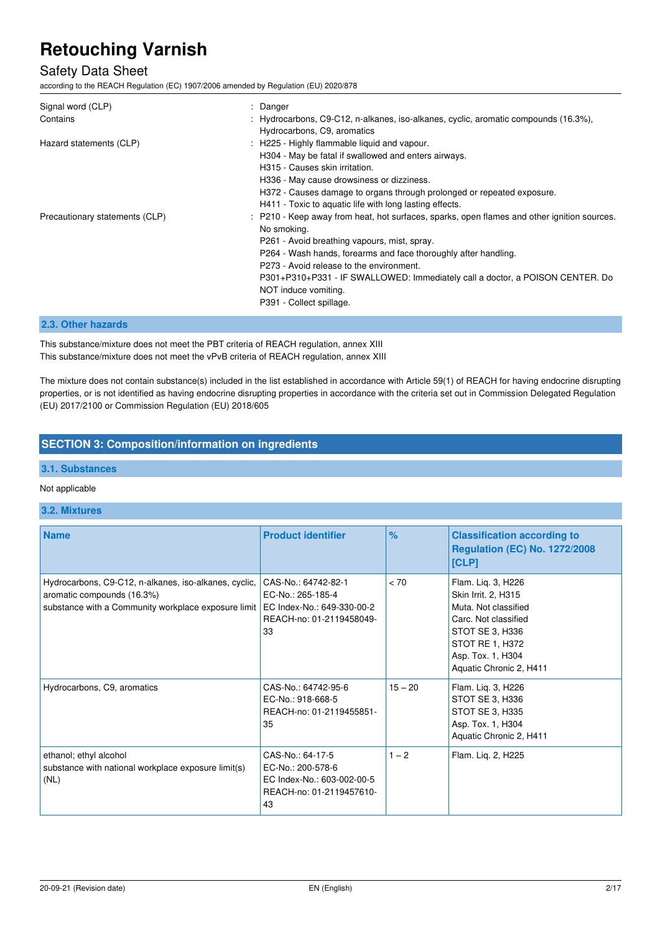### Safety Data Sheet

according to the REACH Regulation (EC) 1907/2006 amended by Regulation (EU) 2020/878

| Signal word (CLP)<br>Contains  | : Danger<br>: Hydrocarbons, C9-C12, n-alkanes, iso-alkanes, cyclic, aromatic compounds (16.3%),<br>Hydrocarbons, C9, aromatics                                                                                                                                                                                                                                                                                 |
|--------------------------------|----------------------------------------------------------------------------------------------------------------------------------------------------------------------------------------------------------------------------------------------------------------------------------------------------------------------------------------------------------------------------------------------------------------|
| Hazard statements (CLP)        | : H225 - Highly flammable liquid and vapour.<br>H304 - May be fatal if swallowed and enters airways.<br>H315 - Causes skin irritation.                                                                                                                                                                                                                                                                         |
|                                | H336 - May cause drowsiness or dizziness.<br>H372 - Causes damage to organs through prolonged or repeated exposure.<br>H411 - Toxic to aquatic life with long lasting effects.                                                                                                                                                                                                                                 |
| Precautionary statements (CLP) | : P210 - Keep away from heat, hot surfaces, sparks, open flames and other ignition sources.<br>No smoking.<br>P261 - Avoid breathing vapours, mist, spray.<br>P264 - Wash hands, forearms and face thoroughly after handling.<br>P273 - Avoid release to the environment.<br>P301+P310+P331 - IF SWALLOWED: Immediately call a doctor, a POISON CENTER. Do<br>NOT induce vomiting.<br>P391 - Collect spillage. |

#### **2.3. Other hazards**

This substance/mixture does not meet the PBT criteria of REACH regulation, annex XIII This substance/mixture does not meet the vPvB criteria of REACH regulation, annex XIII

The mixture does not contain substance(s) included in the list established in accordance with Article 59(1) of REACH for having endocrine disrupting properties, or is not identified as having endocrine disrupting properties in accordance with the criteria set out in Commission Delegated Regulation (EU) 2017/2100 or Commission Regulation (EU) 2018/605

#### **SECTION 3: Composition/information on ingredients**

#### **3.1. Substances**

#### Not applicable

#### **3.2. Mixtures**

| <b>Name</b>                                                                                                                                | <b>Product identifier</b>                                                                                | $\%$      | <b>Classification according to</b><br><b>Regulation (EC) No. 1272/2008</b><br>[CLP]                                                                                             |
|--------------------------------------------------------------------------------------------------------------------------------------------|----------------------------------------------------------------------------------------------------------|-----------|---------------------------------------------------------------------------------------------------------------------------------------------------------------------------------|
| Hydrocarbons, C9-C12, n-alkanes, iso-alkanes, cyclic,<br>aromatic compounds (16.3%)<br>substance with a Community workplace exposure limit | CAS-No.: 64742-82-1<br>EC-No.: 265-185-4<br>EC Index-No.: 649-330-00-2<br>REACH-no: 01-2119458049-<br>33 | < 70      | Flam. Liq. 3, H226<br>Skin Irrit. 2, H315<br>Muta. Not classified<br>Carc. Not classified<br>STOT SE 3, H336<br>STOT RE 1, H372<br>Asp. Tox. 1, H304<br>Aquatic Chronic 2, H411 |
| Hydrocarbons, C9, aromatics                                                                                                                | CAS-No.: 64742-95-6<br>EC-No.: 918-668-5<br>REACH-no: 01-2119455851-<br>35                               | $15 - 20$ | Flam. Liq. 3, H226<br>STOT SE 3, H336<br>STOT SE 3, H335<br>Asp. Tox. 1, H304<br>Aquatic Chronic 2, H411                                                                        |
| ethanol; ethyl alcohol<br>substance with national workplace exposure limit(s)<br>(NL)                                                      | CAS-No.: 64-17-5<br>EC-No.: 200-578-6<br>EC Index-No.: 603-002-00-5<br>REACH-no: 01-2119457610-<br>43    | $1 - 2$   | Flam. Lig. 2, H225                                                                                                                                                              |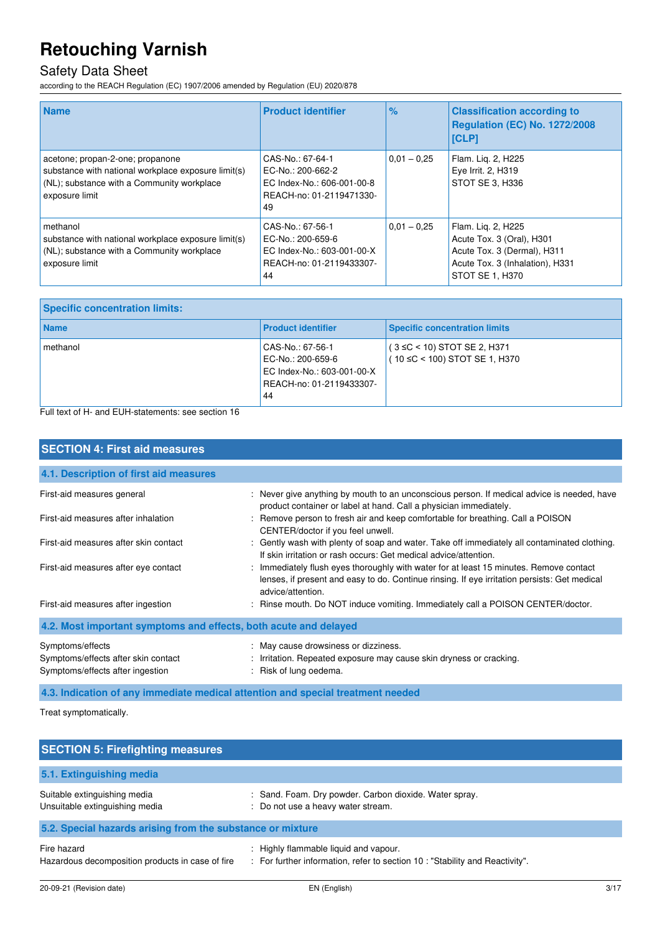### Safety Data Sheet

according to the REACH Regulation (EC) 1907/2006 amended by Regulation (EU) 2020/878

| <b>Name</b>                                                                                                                                             | <b>Product identifier</b>                                                                             | $\frac{9}{6}$ | <b>Classification according to</b><br>Regulation (EC) No. 1272/2008<br><b>ICLPI</b>                                                  |
|---------------------------------------------------------------------------------------------------------------------------------------------------------|-------------------------------------------------------------------------------------------------------|---------------|--------------------------------------------------------------------------------------------------------------------------------------|
| acetone; propan-2-one; propanone<br>substance with national workplace exposure limit(s)<br>(NL); substance with a Community workplace<br>exposure limit | CAS-No.: 67-64-1<br>EC-No.: 200-662-2<br>EC Index-No.: 606-001-00-8<br>REACH-no: 01-2119471330-<br>49 | $0.01 - 0.25$ | Flam. Lig. 2, H225<br>Eye Irrit. 2, H319<br>STOT SE 3, H336                                                                          |
| methanol<br>substance with national workplace exposure limit(s)<br>(NL); substance with a Community workplace<br>exposure limit                         | CAS-No.: 67-56-1<br>EC-No.: 200-659-6<br>EC Index-No.: 603-001-00-X<br>REACH-no: 01-2119433307-<br>44 | $0.01 - 0.25$ | Flam. Lig. 2, H225<br>Acute Tox. 3 (Oral), H301<br>Acute Tox. 3 (Dermal), H311<br>Acute Tox. 3 (Inhalation), H331<br>STOT SE 1, H370 |

| <b>Specific concentration limits:</b> |                                                                                                       |                                                                    |
|---------------------------------------|-------------------------------------------------------------------------------------------------------|--------------------------------------------------------------------|
| <b>Name</b>                           | <b>Product identifier</b>                                                                             | <b>Specific concentration limits</b>                               |
| methanol                              | CAS-No.: 67-56-1<br>EC-No.: 200-659-6<br>EC Index-No.: 603-001-00-X<br>REACH-no: 01-2119433307-<br>44 | $(3 ≤ C < 10)$ STOT SE 2, H371<br>$(10 ≤ C < 100)$ STOT SE 1, H370 |

Full text of H- and EUH-statements: see section 16

| <b>SECTION 4: First aid measures</b>                                                        |                                                                                                                                                                                                             |
|---------------------------------------------------------------------------------------------|-------------------------------------------------------------------------------------------------------------------------------------------------------------------------------------------------------------|
| 4.1. Description of first aid measures                                                      |                                                                                                                                                                                                             |
| First-aid measures general                                                                  | : Never give anything by mouth to an unconscious person. If medical advice is needed, have<br>product container or label at hand. Call a physician immediately.                                             |
| First-aid measures after inhalation                                                         | : Remove person to fresh air and keep comfortable for breathing. Call a POISON<br>CENTER/doctor if you feel unwell.                                                                                         |
| First-aid measures after skin contact                                                       | : Gently wash with plenty of soap and water. Take off immediately all contaminated clothing.<br>If skin irritation or rash occurs: Get medical advice/attention.                                            |
| First-aid measures after eye contact                                                        | : Immediately flush eyes thoroughly with water for at least 15 minutes. Remove contact<br>lenses, if present and easy to do. Continue rinsing. If eye irritation persists: Get medical<br>advice/attention. |
| First-aid measures after ingestion                                                          | : Rinse mouth. Do NOT induce vomiting. Immediately call a POISON CENTER/doctor.                                                                                                                             |
| 4.2. Most important symptoms and effects, both acute and delayed                            |                                                                                                                                                                                                             |
| Symptoms/effects<br>Symptoms/effects after skin contact<br>Symptoms/effects after ingestion | : May cause drowsiness or dizziness.<br>: Irritation. Repeated exposure may cause skin dryness or cracking.<br>: Risk of lung oedema.                                                                       |

**4.3. Indication of any immediate medical attention and special treatment needed** 

Treat symptomatically.

| <b>SECTION 5: Firefighting measures</b>                         |                                                                                                                     |
|-----------------------------------------------------------------|---------------------------------------------------------------------------------------------------------------------|
| 5.1. Extinguishing media                                        |                                                                                                                     |
| Suitable extinguishing media<br>Unsuitable extinguishing media  | : Sand. Foam. Dry powder. Carbon dioxide. Water spray.<br>: Do not use a heavy water stream.                        |
| 5.2. Special hazards arising from the substance or mixture      |                                                                                                                     |
| Fire hazard<br>Hazardous decomposition products in case of fire | Highly flammable liquid and vapour.<br>: For further information, refer to section 10 : "Stability and Reactivity". |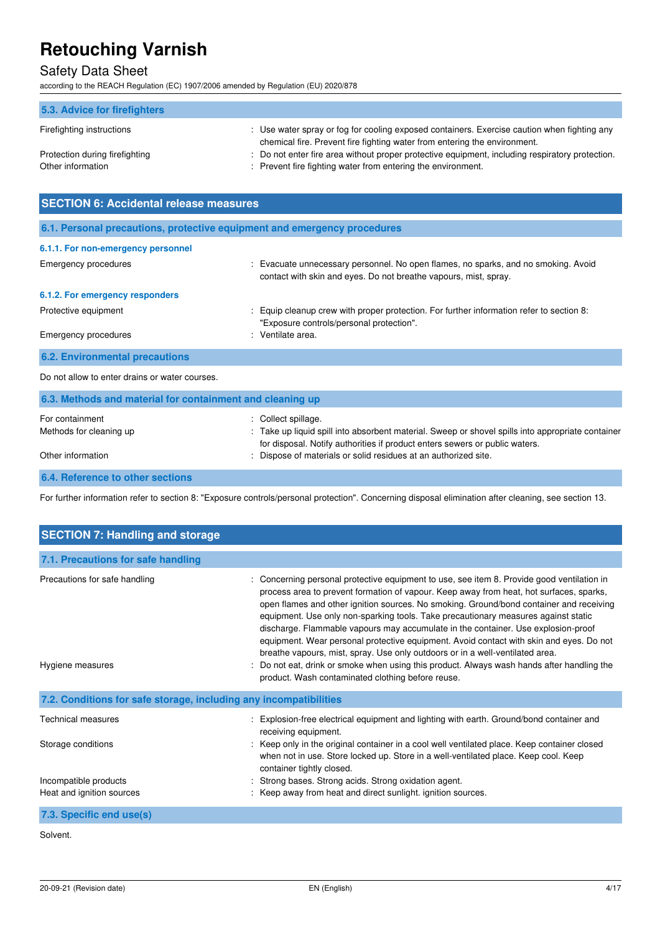## Safety Data Sheet

according to the REACH Regulation (EC) 1907/2006 amended by Regulation (EU) 2020/878

| 5.3. Advice for firefighters                        |                                                                                                                                                                          |
|-----------------------------------------------------|--------------------------------------------------------------------------------------------------------------------------------------------------------------------------|
| Firefighting instructions                           | : Use water spray or fog for cooling exposed containers. Exercise caution when fighting any<br>chemical fire. Prevent fire fighting water from entering the environment. |
| Protection during firefighting<br>Other information | : Do not enter fire area without proper protective equipment, including respiratory protection.<br>: Prevent fire fighting water from entering the environment.          |

| <b>SECTION 6: Accidental release measures</b>                            |                                                                                                                                                        |  |
|--------------------------------------------------------------------------|--------------------------------------------------------------------------------------------------------------------------------------------------------|--|
| 6.1. Personal precautions, protective equipment and emergency procedures |                                                                                                                                                        |  |
| 6.1.1. For non-emergency personnel                                       |                                                                                                                                                        |  |
| <b>Emergency procedures</b>                                              | : Evacuate unnecessary personnel. No open flames, no sparks, and no smoking. Avoid<br>contact with skin and eyes. Do not breathe vapours, mist, spray. |  |
| 6.1.2. For emergency responders                                          |                                                                                                                                                        |  |
| Protective equipment                                                     | Equip cleanup crew with proper protection. For further information refer to section 8:<br>"Exposure controls/personal protection".                     |  |
| <b>Emergency procedures</b>                                              | Ventilate area.                                                                                                                                        |  |
| <b>6.2. Environmental precautions</b>                                    |                                                                                                                                                        |  |
| Do not allow to enter drains or water courses.                           |                                                                                                                                                        |  |
| 6.3. Methods and material for containment and cleaning up                |                                                                                                                                                        |  |

| For containment<br>Methods for cleaning up<br>Other information | : Collect spillage.<br>: Take up liquid spill into absorbent material. Sweep or shovel spills into appropriate container<br>for disposal. Notify authorities if product enters sewers or public waters.<br>: Dispose of materials or solid residues at an authorized site. |
|-----------------------------------------------------------------|----------------------------------------------------------------------------------------------------------------------------------------------------------------------------------------------------------------------------------------------------------------------------|
| 6.4. Reference to other sections                                |                                                                                                                                                                                                                                                                            |

For further information refer to section 8: "Exposure controls/personal protection". Concerning disposal elimination after cleaning, see section 13.

| <b>SECTION 7: Handling and storage</b>                            |                                                                                                                                                                                                                                                                                                                                                                                                                                                                                                                                                                                                                                                                                                                                     |
|-------------------------------------------------------------------|-------------------------------------------------------------------------------------------------------------------------------------------------------------------------------------------------------------------------------------------------------------------------------------------------------------------------------------------------------------------------------------------------------------------------------------------------------------------------------------------------------------------------------------------------------------------------------------------------------------------------------------------------------------------------------------------------------------------------------------|
| 7.1. Precautions for safe handling                                |                                                                                                                                                                                                                                                                                                                                                                                                                                                                                                                                                                                                                                                                                                                                     |
| Precautions for safe handling<br>Hygiene measures                 | : Concerning personal protective equipment to use, see item 8. Provide good ventilation in<br>process area to prevent formation of vapour. Keep away from heat, hot surfaces, sparks,<br>open flames and other ignition sources. No smoking. Ground/bond container and receiving<br>equipment. Use only non-sparking tools. Take precautionary measures against static<br>discharge. Flammable vapours may accumulate in the container. Use explosion-proof<br>equipment. Wear personal protective equipment. Avoid contact with skin and eyes. Do not<br>breathe vapours, mist, spray. Use only outdoors or in a well-ventilated area.<br>Do not eat, drink or smoke when using this product. Always wash hands after handling the |
| 7.2. Conditions for safe storage, including any incompatibilities | product. Wash contaminated clothing before reuse.                                                                                                                                                                                                                                                                                                                                                                                                                                                                                                                                                                                                                                                                                   |
|                                                                   |                                                                                                                                                                                                                                                                                                                                                                                                                                                                                                                                                                                                                                                                                                                                     |
| <b>Technical measures</b>                                         | Explosion-free electrical equipment and lighting with earth. Ground/bond container and<br>receiving equipment.                                                                                                                                                                                                                                                                                                                                                                                                                                                                                                                                                                                                                      |
| Storage conditions                                                | : Keep only in the original container in a cool well ventilated place. Keep container closed<br>when not in use. Store locked up. Store in a well-ventilated place. Keep cool. Keep<br>container tightly closed.                                                                                                                                                                                                                                                                                                                                                                                                                                                                                                                    |
| Incompatible products                                             | Strong bases. Strong acids. Strong oxidation agent.                                                                                                                                                                                                                                                                                                                                                                                                                                                                                                                                                                                                                                                                                 |
| Heat and ignition sources                                         | : Keep away from heat and direct sunlight. ignition sources.                                                                                                                                                                                                                                                                                                                                                                                                                                                                                                                                                                                                                                                                        |
| 7.3. Specific end use(s)                                          |                                                                                                                                                                                                                                                                                                                                                                                                                                                                                                                                                                                                                                                                                                                                     |

Solvent.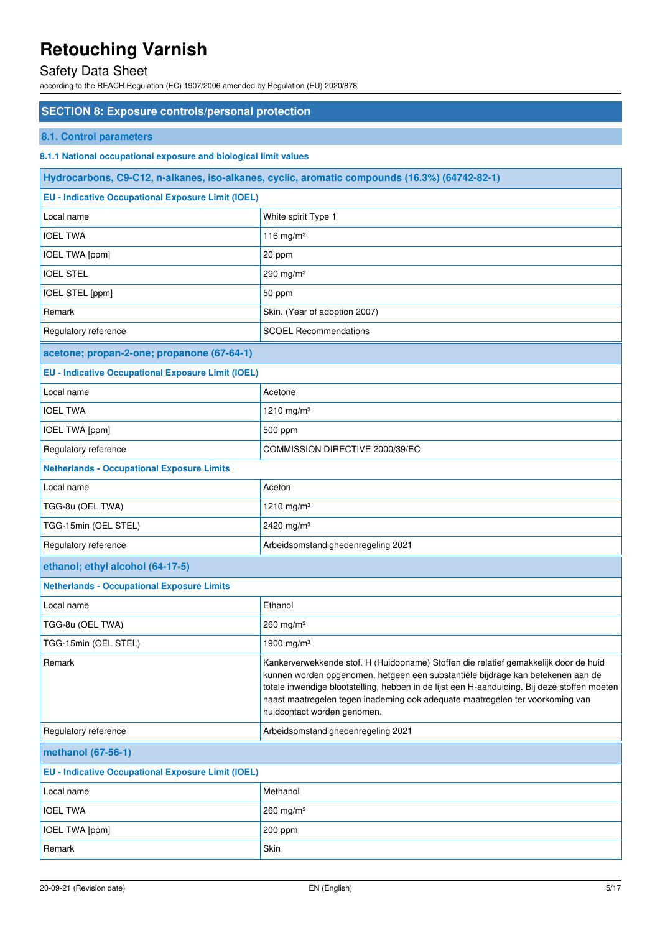## Safety Data Sheet

according to the REACH Regulation (EC) 1907/2006 amended by Regulation (EU) 2020/878

| <b>SECTION 8: Exposure controls/personal protection</b>          |                                                                                                                                                                                                                                                                                                                                                                                         |
|------------------------------------------------------------------|-----------------------------------------------------------------------------------------------------------------------------------------------------------------------------------------------------------------------------------------------------------------------------------------------------------------------------------------------------------------------------------------|
| 8.1. Control parameters                                          |                                                                                                                                                                                                                                                                                                                                                                                         |
| 8.1.1 National occupational exposure and biological limit values |                                                                                                                                                                                                                                                                                                                                                                                         |
|                                                                  | Hydrocarbons, C9-C12, n-alkanes, iso-alkanes, cyclic, aromatic compounds (16.3%) (64742-82-1)                                                                                                                                                                                                                                                                                           |
| <b>EU - Indicative Occupational Exposure Limit (IOEL)</b>        |                                                                                                                                                                                                                                                                                                                                                                                         |
| Local name                                                       | White spirit Type 1                                                                                                                                                                                                                                                                                                                                                                     |
| <b>IOEL TWA</b>                                                  | 116 mg/m $3$                                                                                                                                                                                                                                                                                                                                                                            |
| IOEL TWA [ppm]                                                   | 20 ppm                                                                                                                                                                                                                                                                                                                                                                                  |
| <b>IOEL STEL</b>                                                 | 290 mg/m $3$                                                                                                                                                                                                                                                                                                                                                                            |
| IOEL STEL [ppm]                                                  | 50 ppm                                                                                                                                                                                                                                                                                                                                                                                  |
| Remark                                                           | Skin. (Year of adoption 2007)                                                                                                                                                                                                                                                                                                                                                           |
| Regulatory reference                                             | <b>SCOEL Recommendations</b>                                                                                                                                                                                                                                                                                                                                                            |
| acetone; propan-2-one; propanone (67-64-1)                       |                                                                                                                                                                                                                                                                                                                                                                                         |
| <b>EU - Indicative Occupational Exposure Limit (IOEL)</b>        |                                                                                                                                                                                                                                                                                                                                                                                         |
| Local name                                                       | Acetone                                                                                                                                                                                                                                                                                                                                                                                 |
| <b>IOEL TWA</b>                                                  | 1210 mg/m $3$                                                                                                                                                                                                                                                                                                                                                                           |
| <b>IOEL TWA [ppm]</b>                                            | 500 ppm                                                                                                                                                                                                                                                                                                                                                                                 |
| Regulatory reference                                             | COMMISSION DIRECTIVE 2000/39/EC                                                                                                                                                                                                                                                                                                                                                         |
| <b>Netherlands - Occupational Exposure Limits</b>                |                                                                                                                                                                                                                                                                                                                                                                                         |
| Local name                                                       | Aceton                                                                                                                                                                                                                                                                                                                                                                                  |
| TGG-8u (OEL TWA)                                                 | 1210 mg/m <sup>3</sup>                                                                                                                                                                                                                                                                                                                                                                  |
| TGG-15min (OEL STEL)                                             | 2420 mg/m <sup>3</sup>                                                                                                                                                                                                                                                                                                                                                                  |
| Regulatory reference                                             | Arbeidsomstandighedenregeling 2021                                                                                                                                                                                                                                                                                                                                                      |
| ethanol; ethyl alcohol (64-17-5)                                 |                                                                                                                                                                                                                                                                                                                                                                                         |
| <b>Netherlands - Occupational Exposure Limits</b>                |                                                                                                                                                                                                                                                                                                                                                                                         |
| Local name                                                       | Ethanol                                                                                                                                                                                                                                                                                                                                                                                 |
| TGG-8u (OEL TWA)                                                 | $260$ mg/m <sup>3</sup>                                                                                                                                                                                                                                                                                                                                                                 |
| TGG-15min (OEL STEL)                                             | 1900 mg/m <sup>3</sup>                                                                                                                                                                                                                                                                                                                                                                  |
| Remark                                                           | Kankerverwekkende stof. H (Huidopname) Stoffen die relatief gemakkelijk door de huid<br>kunnen worden opgenomen, hetgeen een substantiële bijdrage kan betekenen aan de<br>totale inwendige blootstelling, hebben in de lijst een H-aanduiding. Bij deze stoffen moeten<br>naast maatregelen tegen inademing ook adequate maatregelen ter voorkoming van<br>huidcontact worden genomen. |
| Regulatory reference                                             | Arbeidsomstandighedenregeling 2021                                                                                                                                                                                                                                                                                                                                                      |
| methanol (67-56-1)                                               |                                                                                                                                                                                                                                                                                                                                                                                         |
| <b>EU - Indicative Occupational Exposure Limit (IOEL)</b>        |                                                                                                                                                                                                                                                                                                                                                                                         |
| Local name                                                       | Methanol                                                                                                                                                                                                                                                                                                                                                                                |
| <b>IOEL TWA</b>                                                  | 260 mg/m $3$                                                                                                                                                                                                                                                                                                                                                                            |
| <b>IOEL TWA [ppm]</b>                                            | 200 ppm                                                                                                                                                                                                                                                                                                                                                                                 |
| Remark                                                           | Skin                                                                                                                                                                                                                                                                                                                                                                                    |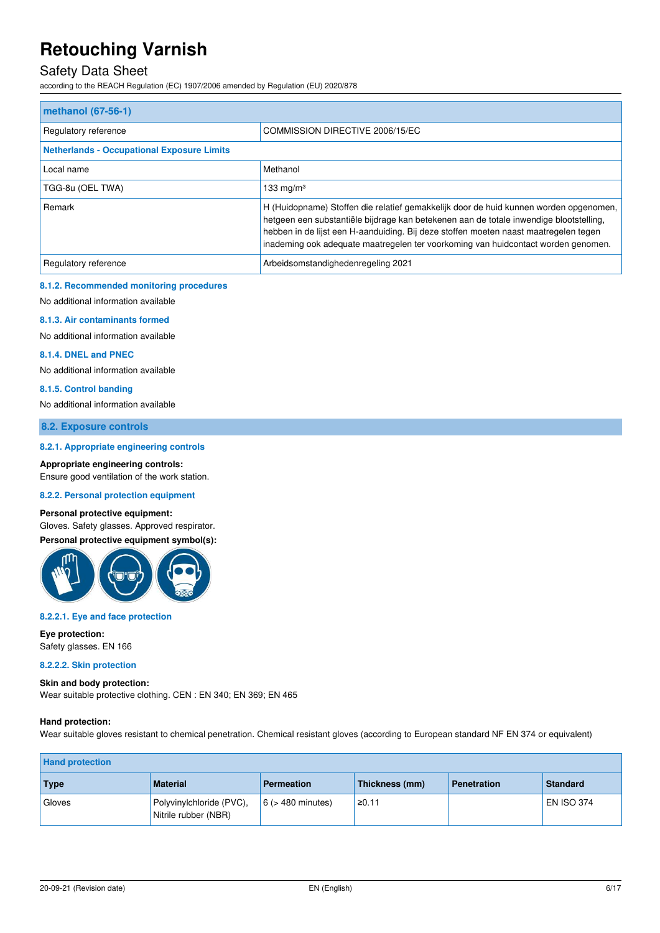### Safety Data Sheet

according to the REACH Regulation (EC) 1907/2006 amended by Regulation (EU) 2020/878

| methanol (67-56-1)                                |                                                                                                                                                                                                                                                                                                                                                              |  |  |
|---------------------------------------------------|--------------------------------------------------------------------------------------------------------------------------------------------------------------------------------------------------------------------------------------------------------------------------------------------------------------------------------------------------------------|--|--|
| Regulatory reference                              | COMMISSION DIRECTIVE 2006/15/EC                                                                                                                                                                                                                                                                                                                              |  |  |
| <b>Netherlands - Occupational Exposure Limits</b> |                                                                                                                                                                                                                                                                                                                                                              |  |  |
| Local name                                        | Methanol                                                                                                                                                                                                                                                                                                                                                     |  |  |
| TGG-8u (OEL TWA)                                  | 133 mg/m $3$                                                                                                                                                                                                                                                                                                                                                 |  |  |
| Remark                                            | H (Huidopname) Stoffen die relatief gemakkelijk door de huid kunnen worden opgenomen,<br>hetgeen een substantiële bijdrage kan betekenen aan de totale inwendige blootstelling,<br>hebben in de lijst een H-aanduiding. Bij deze stoffen moeten naast maatregelen tegen<br>inademing ook adequate maatregelen ter voorkoming van huidcontact worden genomen. |  |  |
| Regulatory reference                              | Arbeidsomstandighedenregeling 2021                                                                                                                                                                                                                                                                                                                           |  |  |

#### **8.1.2. Recommended monitoring procedures**

No additional information available

#### **8.1.3. Air contaminants formed**

No additional information available

#### **8.1.4. DNEL and PNEC**

No additional information available

#### **8.1.5. Control banding**

No additional information available

**8.2. Exposure controls** 

#### **8.2.1. Appropriate engineering controls**

**Appropriate engineering controls:** 

Ensure good ventilation of the work station.

#### **8.2.2. Personal protection equipment**

#### **Personal protective equipment:**

Gloves. Safety glasses. Approved respirator.



#### **8.2.2.1. Eye and face protection**

**Eye protection:**  Safety glasses. EN 166

#### **8.2.2.2. Skin protection**

**Skin and body protection:**  Wear suitable protective clothing. CEN : EN 340; EN 369; EN 465

#### **Hand protection:**

Wear suitable gloves resistant to chemical penetration. Chemical resistant gloves (according to European standard NF EN 374 or equivalent)

| <b>Hand protection</b> |                                                  |                        |                |                    |                 |
|------------------------|--------------------------------------------------|------------------------|----------------|--------------------|-----------------|
| <b>Type</b>            | <b>Material</b>                                  | <b>Permeation</b>      | Thickness (mm) | <b>Penetration</b> | <b>Standard</b> |
| Gloves                 | Polyvinylchloride (PVC),<br>Nitrile rubber (NBR) | $6$ ( $>$ 480 minutes) | ≥0.11          |                    | EN ISO 374      |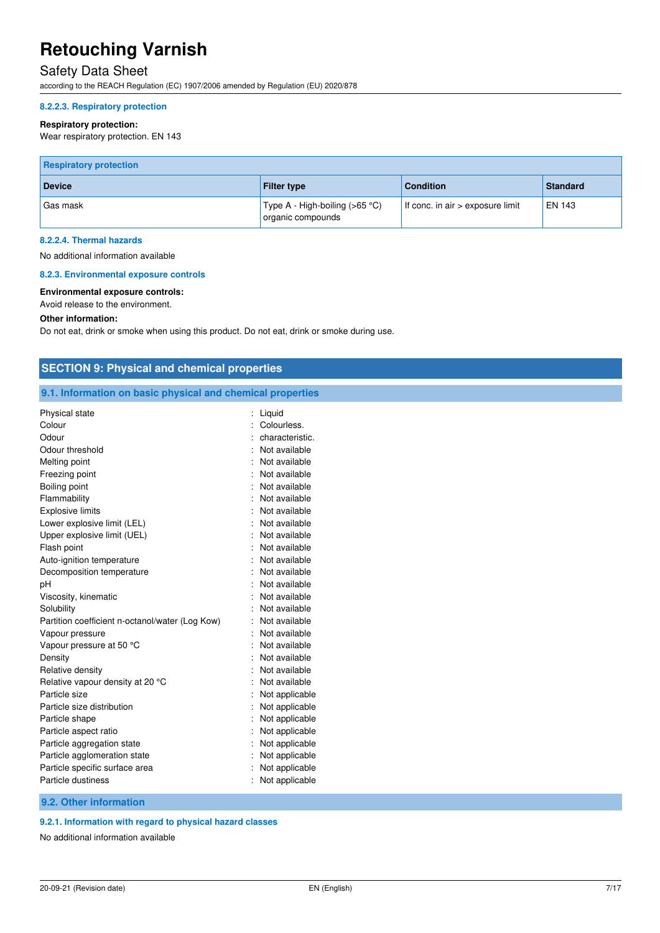### Safety Data Sheet

according to the REACH Regulation (EC) 1907/2006 amended by Regulation (EU) 2020/878

#### **8.2.2.3. Respiratory protection**

#### **Respiratory protection:**

Wear respiratory protection. EN 143

| <b>Respiratory protection</b> |                                                       |                                    |                 |
|-------------------------------|-------------------------------------------------------|------------------------------------|-----------------|
| <b>Device</b>                 | <b>Filter type</b>                                    | <b>Condition</b>                   | <b>Standard</b> |
| Gas mask                      | ' Type A - High-boiling (>65 °C)<br>organic compounds | If conc. in $air >$ exposure limit | EN 143          |

#### **8.2.2.4. Thermal hazards**

No additional information available

#### **8.2.3. Environmental exposure controls**

#### **Environmental exposure controls:**

Avoid release to the environment.

#### **Other information:**

Do not eat, drink or smoke when using this product. Do not eat, drink or smoke during use.

| 9.1. Information on basic physical and chemical properties |                  |  |  |
|------------------------------------------------------------|------------------|--|--|
| Physical state                                             | $:$ Liquid       |  |  |
| Colour                                                     | Colourless.      |  |  |
| Odour                                                      | characteristic.  |  |  |
| Odour threshold                                            | Not available    |  |  |
| Melting point                                              | Not available    |  |  |
| Freezing point                                             | Not available    |  |  |
| Boiling point                                              | Not available    |  |  |
| Flammability                                               | Not available    |  |  |
| <b>Explosive limits</b>                                    | Not available    |  |  |
| Lower explosive limit (LEL)                                | Not available    |  |  |
| Upper explosive limit (UEL)                                | Not available    |  |  |
| Flash point                                                | Not available    |  |  |
| Auto-ignition temperature                                  | Not available    |  |  |
| Decomposition temperature                                  | Not available    |  |  |
| pH                                                         | Not available    |  |  |
| Viscosity, kinematic                                       | Not available    |  |  |
| Solubility                                                 | Not available    |  |  |
| Partition coefficient n-octanol/water (Log Kow)            | Not available    |  |  |
| Vapour pressure                                            | Not available    |  |  |
| Vapour pressure at 50 °C                                   | Not available    |  |  |
| Density                                                    | Not available    |  |  |
| Relative density                                           | Not available    |  |  |
| Relative vapour density at 20 °C                           | Not available    |  |  |
| Particle size                                              | Not applicable   |  |  |
| Particle size distribution                                 | Not applicable   |  |  |
| Particle shape                                             | Not applicable   |  |  |
| Particle aspect ratio                                      | Not applicable   |  |  |
| Particle aggregation state                                 | Not applicable   |  |  |
| Particle agglomeration state                               | Not applicable   |  |  |
| Particle specific surface area                             | Not applicable   |  |  |
| Particle dustiness                                         | : Not applicable |  |  |
| 9.2. Other information                                     |                  |  |  |

No additional information available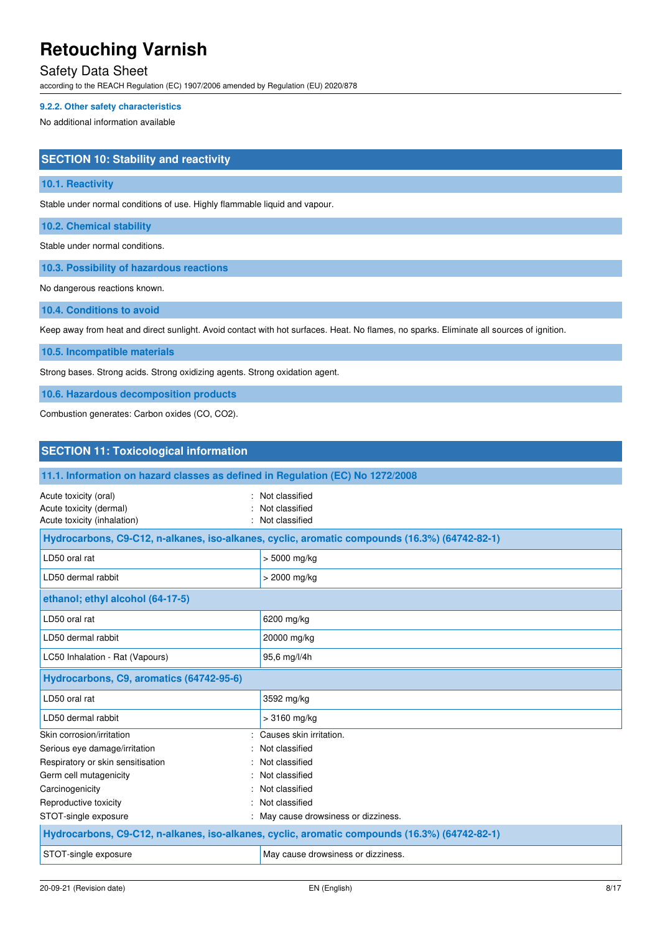### Safety Data Sheet

according to the REACH Regulation (EC) 1907/2006 amended by Regulation (EU) 2020/878

#### **9.2.2. Other safety characteristics**

No additional information available

#### **SECTION 10: Stability and reactivity**

#### **10.1. Reactivity**

Stable under normal conditions of use. Highly flammable liquid and vapour.

**10.2. Chemical stability** 

Stable under normal conditions.

**10.3. Possibility of hazardous reactions** 

No dangerous reactions known.

**10.4. Conditions to avoid** 

Keep away from heat and direct sunlight. Avoid contact with hot surfaces. Heat. No flames, no sparks. Eliminate all sources of ignition.

**10.5. Incompatible materials** 

Strong bases. Strong acids. Strong oxidizing agents. Strong oxidation agent.

**10.6. Hazardous decomposition products** 

Combustion generates: Carbon oxides (CO, CO2).

| <b>SECTION 11: Toxicological information</b>                                    |                                                                                               |  |
|---------------------------------------------------------------------------------|-----------------------------------------------------------------------------------------------|--|
| 11.1. Information on hazard classes as defined in Regulation (EC) No 1272/2008  |                                                                                               |  |
| Acute toxicity (oral)<br>Acute toxicity (dermal)<br>Acute toxicity (inhalation) | Not classified<br>Not classified<br>Not classified                                            |  |
|                                                                                 | Hydrocarbons, C9-C12, n-alkanes, iso-alkanes, cyclic, aromatic compounds (16.3%) (64742-82-1) |  |
| LD50 oral rat                                                                   | $> 5000$ mg/kg                                                                                |  |
| LD50 dermal rabbit                                                              | > 2000 mg/kg                                                                                  |  |
| ethanol; ethyl alcohol (64-17-5)                                                |                                                                                               |  |
| LD50 oral rat                                                                   | 6200 mg/kg                                                                                    |  |
| LD50 dermal rabbit                                                              | 20000 mg/kg                                                                                   |  |
| LC50 Inhalation - Rat (Vapours)                                                 | 95,6 mg/l/4h                                                                                  |  |
| Hydrocarbons, C9, aromatics (64742-95-6)                                        |                                                                                               |  |
| LD50 oral rat                                                                   | 3592 mg/kg                                                                                    |  |
| LD50 dermal rabbit                                                              | $>3160$ mg/kg                                                                                 |  |
| Skin corrosion/irritation                                                       | Causes skin irritation.                                                                       |  |
| Serious eye damage/irritation                                                   | Not classified                                                                                |  |
| Respiratory or skin sensitisation                                               | Not classified                                                                                |  |
| Germ cell mutagenicity                                                          | Not classified                                                                                |  |
| Carcinogenicity                                                                 | Not classified                                                                                |  |
| Reproductive toxicity                                                           | Not classified                                                                                |  |
| STOT-single exposure                                                            | May cause drowsiness or dizziness.                                                            |  |
|                                                                                 | Hydrocarbons, C9-C12, n-alkanes, iso-alkanes, cyclic, aromatic compounds (16.3%) (64742-82-1) |  |
| STOT-single exposure                                                            | May cause drowsiness or dizziness.                                                            |  |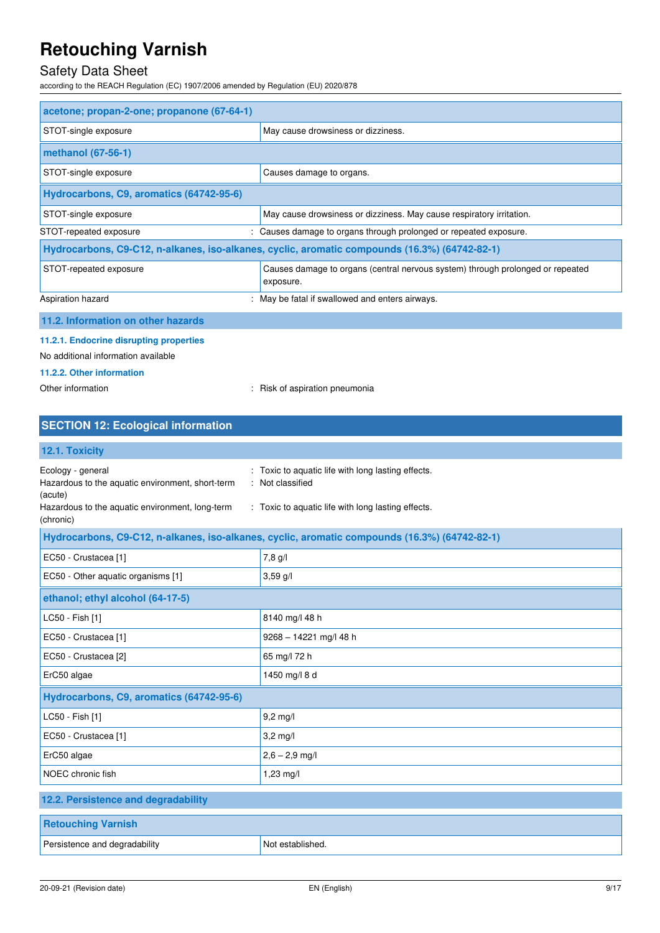### Safety Data Sheet

according to the REACH Regulation (EC) 1907/2006 amended by Regulation (EU) 2020/878

| acetone; propan-2-one; propanone (67-64-1)                                                    |                                                                                             |  |  |
|-----------------------------------------------------------------------------------------------|---------------------------------------------------------------------------------------------|--|--|
| STOT-single exposure                                                                          | May cause drowsiness or dizziness.                                                          |  |  |
| methanol (67-56-1)                                                                            |                                                                                             |  |  |
| STOT-single exposure                                                                          | Causes damage to organs.                                                                    |  |  |
| Hydrocarbons, C9, aromatics (64742-95-6)                                                      |                                                                                             |  |  |
| STOT-single exposure                                                                          | May cause drowsiness or dizziness. May cause respiratory irritation.                        |  |  |
| STOT-repeated exposure                                                                        | Causes damage to organs through prolonged or repeated exposure.                             |  |  |
| Hydrocarbons, C9-C12, n-alkanes, iso-alkanes, cyclic, aromatic compounds (16.3%) (64742-82-1) |                                                                                             |  |  |
| STOT-repeated exposure                                                                        | Causes damage to organs (central nervous system) through prolonged or repeated<br>exposure. |  |  |
| Aspiration hazard                                                                             | May be fatal if swallowed and enters airways.                                               |  |  |
| 11.2. Information on other hazards                                                            |                                                                                             |  |  |
| 11.2.1. Endocrine disrupting properties<br>No additional information available                |                                                                                             |  |  |
| 11.2.2. Other information                                                                     |                                                                                             |  |  |

Other information **contact of the COSE**  $\sim$  Risk of aspiration pneumonia

### **SECTION 12: Ecological information**

### **12.1. Toxicity**

| IEI II TUAIVILY                                                                                                                                  |                                                                                                                          |
|--------------------------------------------------------------------------------------------------------------------------------------------------|--------------------------------------------------------------------------------------------------------------------------|
| Ecology - general<br>Hazardous to the aquatic environment, short-term<br>(acute)<br>Hazardous to the aquatic environment, long-term<br>(chronic) | Toxic to aquatic life with long lasting effects.<br>Not classified<br>: Toxic to aquatic life with long lasting effects. |
|                                                                                                                                                  |                                                                                                                          |
|                                                                                                                                                  | Hydrocarbons, C9-C12, n-alkanes, iso-alkanes, cyclic, aromatic compounds (16.3%) (64742-82-1)                            |
| EC50 - Crustacea [1]                                                                                                                             | 7,8 g/l                                                                                                                  |
| EC50 - Other aquatic organisms [1]                                                                                                               | $3,59$ g/l                                                                                                               |
| ethanol; ethyl alcohol (64-17-5)                                                                                                                 |                                                                                                                          |
| LC50 - Fish [1]                                                                                                                                  | 8140 mg/l 48 h                                                                                                           |
| EC50 - Crustacea [1]                                                                                                                             | 9268 - 14221 mg/l 48 h                                                                                                   |
| EC50 - Crustacea [2]                                                                                                                             | 65 mg/l 72 h                                                                                                             |
| ErC50 algae                                                                                                                                      | 1450 mg/l 8 d                                                                                                            |
| Hydrocarbons, C9, aromatics (64742-95-6)                                                                                                         |                                                                                                                          |
| LC50 - Fish [1]                                                                                                                                  | $9,2$ mg/l                                                                                                               |
| EC50 - Crustacea [1]                                                                                                                             | $3,2$ mg/l                                                                                                               |
| ErC50 algae                                                                                                                                      | $2,6 - 2,9$ mg/l                                                                                                         |
| NOEC chronic fish                                                                                                                                | $1,23$ mg/l                                                                                                              |
| 12.2. Persistence and degradability                                                                                                              |                                                                                                                          |
| <b>Retouching Varnish</b>                                                                                                                        |                                                                                                                          |
| Persistence and degradability                                                                                                                    | Not established.                                                                                                         |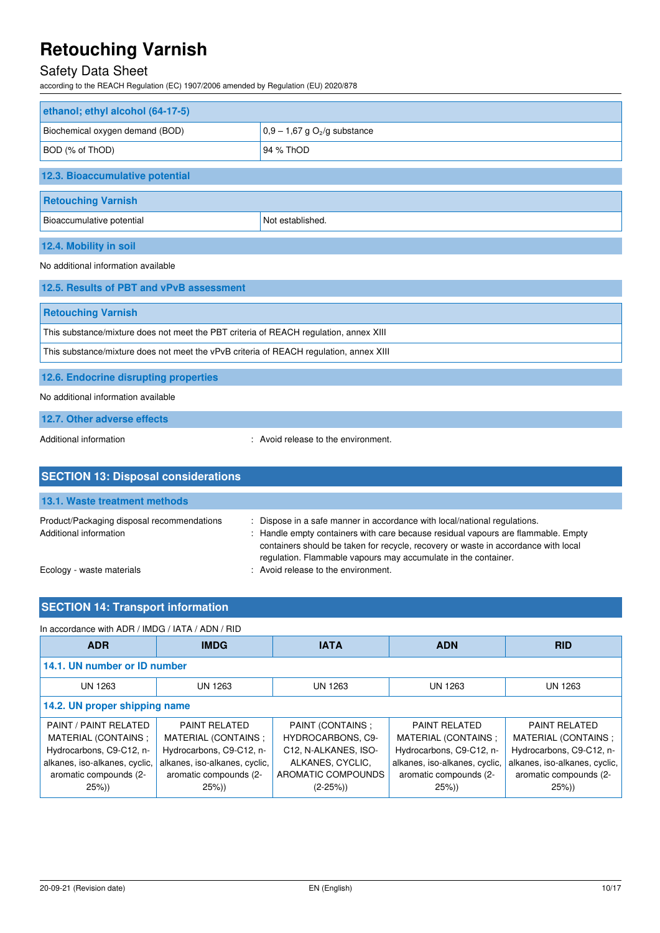### Safety Data Sheet

according to the REACH Regulation (EC) 1907/2006 amended by Regulation (EU) 2020/878

| ethanol; ethyl alcohol (64-17-5) |                                            |  |
|----------------------------------|--------------------------------------------|--|
| Biochemical oxygen demand (BOD)  | $0,9 - 1,67$ g O <sub>2</sub> /g substance |  |
| BOD (% of ThOD)                  | 94 % ThOD                                  |  |
| 12.3. Bioaccumulative potential  |                                            |  |
| <b>Retouching Varnish</b>        |                                            |  |
| Bioaccumulative potential        | Not established.                           |  |
| 12.4. Mobility in soil           |                                            |  |

#### No additional information available

| 12.5. Results of PBT and vPvB assessment                                               |
|----------------------------------------------------------------------------------------|
| <b>Retouching Varnish</b>                                                              |
| This substance/mixture does not meet the PBT criteria of REACH regulation, annex XIII  |
| This substance/mixture does not meet the vPvB criteria of REACH regulation, annex XIII |
| 12.6. Endocrine disrupting properties                                                  |

No additional information available

**12.7. Other adverse effects** 

Additional information entity and the environment.

| <b>SECTION 13: Disposal considerations</b>                           |                                                                                                                                                                                                                                                                                                                        |
|----------------------------------------------------------------------|------------------------------------------------------------------------------------------------------------------------------------------------------------------------------------------------------------------------------------------------------------------------------------------------------------------------|
| 13.1. Waste treatment methods                                        |                                                                                                                                                                                                                                                                                                                        |
| Product/Packaging disposal recommendations<br>Additional information | : Dispose in a safe manner in accordance with local/national regulations.<br>: Handle empty containers with care because residual vapours are flammable. Empty<br>containers should be taken for recycle, recovery or waste in accordance with local<br>regulation. Flammable vapours may accumulate in the container. |
| Ecology - waste materials                                            | : Avoid release to the environment.                                                                                                                                                                                                                                                                                    |

### **SECTION 14: Transport information**

| In accordance with ADR / IMDG / IATA / ADN / RID                                                                                               |                                                                                                                                                |                                                                                                                              |                                                                                                                                               |                                                                                                                                               |  |
|------------------------------------------------------------------------------------------------------------------------------------------------|------------------------------------------------------------------------------------------------------------------------------------------------|------------------------------------------------------------------------------------------------------------------------------|-----------------------------------------------------------------------------------------------------------------------------------------------|-----------------------------------------------------------------------------------------------------------------------------------------------|--|
| <b>ADR</b>                                                                                                                                     | <b>IMDG</b>                                                                                                                                    | <b>IATA</b>                                                                                                                  | <b>ADN</b>                                                                                                                                    | <b>RID</b>                                                                                                                                    |  |
| 14.1. UN number or ID number                                                                                                                   |                                                                                                                                                |                                                                                                                              |                                                                                                                                               |                                                                                                                                               |  |
| <b>UN 1263</b>                                                                                                                                 | UN 1263                                                                                                                                        | UN 1263                                                                                                                      | UN 1263                                                                                                                                       | UN 1263                                                                                                                                       |  |
| 14.2. UN proper shipping name                                                                                                                  |                                                                                                                                                |                                                                                                                              |                                                                                                                                               |                                                                                                                                               |  |
| PAINT / PAINT RELATED<br>MATERIAL (CONTAINS:<br>Hydrocarbons, C9-C12, n-<br>alkanes, iso-alkanes, cyclic,<br>aromatic compounds (2-<br>$25\%)$ | <b>PAINT RELATED</b><br>MATERIAL (CONTAINS ;<br>Hydrocarbons, C9-C12, n-<br>alkanes, iso-alkanes, cyclic,<br>aromatic compounds (2-<br>$25\%)$ | PAINT (CONTAINS :<br><b>HYDROCARBONS, C9-</b><br>C12, N-ALKANES, ISO-<br>ALKANES, CYCLIC,<br>AROMATIC COMPOUNDS<br>$(2-25%)$ | <b>PAINT RELATED</b><br>MATERIAL (CONTAINS:<br>Hydrocarbons, C9-C12, n-<br>alkanes, iso-alkanes, cyclic,<br>aromatic compounds (2-<br>$25\%)$ | <b>PAINT RELATED</b><br>MATERIAL (CONTAINS:<br>Hydrocarbons, C9-C12, n-<br>alkanes, iso-alkanes, cyclic,<br>aromatic compounds (2-<br>$25\%)$ |  |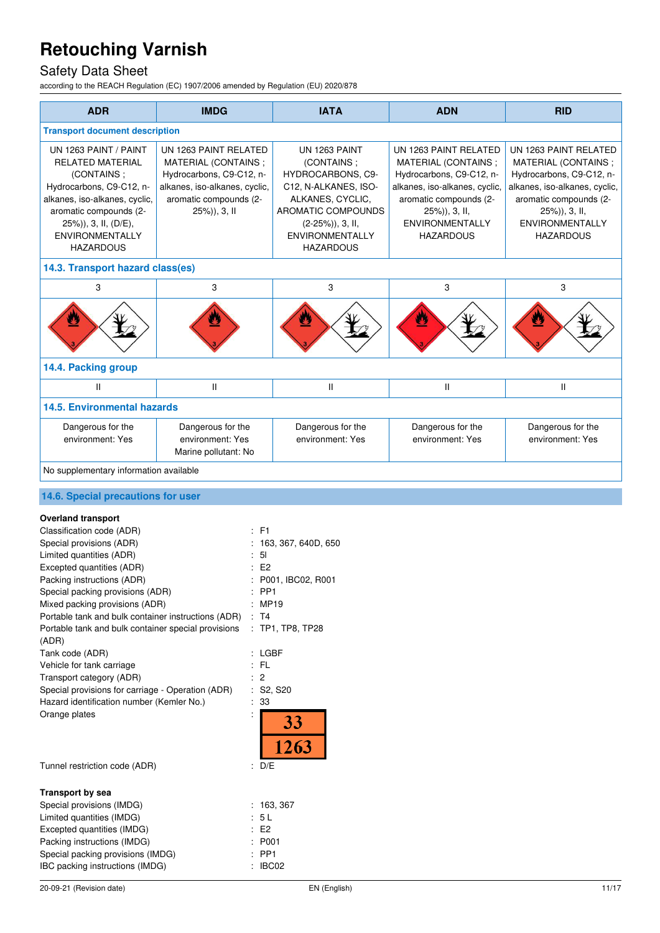## Safety Data Sheet

according to the REACH Regulation (EC) 1907/2006 amended by Regulation (EU) 2020/878

| <b>ADR</b>                                                                                                                                                                                                                                                                                                                                                                                                                                                                                                                                                                                                                                                                                                       | <b>IMDG</b>                                                                                                                                                                                                                                                                                                                                                                                                                                                             | <b>IATA</b>                                                                                                                                                                             | <b>ADN</b>                                                                                                                                                                                         | <b>RID</b>                                                                                                                                                                                  |
|------------------------------------------------------------------------------------------------------------------------------------------------------------------------------------------------------------------------------------------------------------------------------------------------------------------------------------------------------------------------------------------------------------------------------------------------------------------------------------------------------------------------------------------------------------------------------------------------------------------------------------------------------------------------------------------------------------------|-------------------------------------------------------------------------------------------------------------------------------------------------------------------------------------------------------------------------------------------------------------------------------------------------------------------------------------------------------------------------------------------------------------------------------------------------------------------------|-----------------------------------------------------------------------------------------------------------------------------------------------------------------------------------------|----------------------------------------------------------------------------------------------------------------------------------------------------------------------------------------------------|---------------------------------------------------------------------------------------------------------------------------------------------------------------------------------------------|
| <b>Transport document description</b>                                                                                                                                                                                                                                                                                                                                                                                                                                                                                                                                                                                                                                                                            |                                                                                                                                                                                                                                                                                                                                                                                                                                                                         |                                                                                                                                                                                         |                                                                                                                                                                                                    |                                                                                                                                                                                             |
| UN 1263 PAINT / PAINT<br><b>RELATED MATERIAL</b><br>(CONTAINS;<br>Hydrocarbons, C9-C12, n-<br>alkanes, iso-alkanes, cyclic,<br>aromatic compounds (2-<br>25%)), 3, II, (D/E),<br><b>ENVIRONMENTALLY</b><br><b>HAZARDOUS</b>                                                                                                                                                                                                                                                                                                                                                                                                                                                                                      | UN 1263 PAINT RELATED<br>MATERIAL (CONTAINS;<br>Hydrocarbons, C9-C12, n-<br>alkanes, iso-alkanes, cyclic,<br>aromatic compounds (2-<br>25%)), 3, II                                                                                                                                                                                                                                                                                                                     | UN 1263 PAINT<br>(CONTAINS;<br>HYDROCARBONS, C9-<br>C12, N-ALKANES, ISO-<br>ALKANES, CYCLIC,<br>AROMATIC COMPOUNDS<br>$(2-25\%)$ , 3, II,<br><b>ENVIRONMENTALLY</b><br><b>HAZARDOUS</b> | UN 1263 PAINT RELATED<br>MATERIAL (CONTAINS;<br>Hydrocarbons, C9-C12, n-<br>alkanes, iso-alkanes, cyclic,<br>aromatic compounds (2-<br>25%)), 3, II,<br><b>ENVIRONMENTALLY</b><br><b>HAZARDOUS</b> | UN 1263 PAINT RELATED<br>MATERIAL (CONTAINS;<br>Hydrocarbons, C9-C12, n-<br>alkanes, iso-alkanes, cyclic,<br>aromatic compounds (2-<br>25%)), 3, II,<br>ENVIRONMENTALLY<br><b>HAZARDOUS</b> |
| 14.3. Transport hazard class(es)                                                                                                                                                                                                                                                                                                                                                                                                                                                                                                                                                                                                                                                                                 |                                                                                                                                                                                                                                                                                                                                                                                                                                                                         |                                                                                                                                                                                         |                                                                                                                                                                                                    |                                                                                                                                                                                             |
| 3                                                                                                                                                                                                                                                                                                                                                                                                                                                                                                                                                                                                                                                                                                                | 3                                                                                                                                                                                                                                                                                                                                                                                                                                                                       | 3                                                                                                                                                                                       | 3                                                                                                                                                                                                  | 3                                                                                                                                                                                           |
|                                                                                                                                                                                                                                                                                                                                                                                                                                                                                                                                                                                                                                                                                                                  |                                                                                                                                                                                                                                                                                                                                                                                                                                                                         |                                                                                                                                                                                         |                                                                                                                                                                                                    |                                                                                                                                                                                             |
| 14.4. Packing group                                                                                                                                                                                                                                                                                                                                                                                                                                                                                                                                                                                                                                                                                              |                                                                                                                                                                                                                                                                                                                                                                                                                                                                         |                                                                                                                                                                                         |                                                                                                                                                                                                    |                                                                                                                                                                                             |
| $\mathsf{II}$                                                                                                                                                                                                                                                                                                                                                                                                                                                                                                                                                                                                                                                                                                    | $\mathop{  }% \text{log}(p_{\theta}^{*})\mathop{  }% \text{log}(p_{\theta}^{*})\mathop{  }% \text{log}(p_{\theta}^{*})\mathop{  }% \text{log}(p_{\theta}^{*})\mathop{  }% \text{log}(p_{\theta}^{*})\mathop{  }% \text{log}(p_{\theta}^{*})\mathop{  }% \text{log}(p_{\theta}^{*})\mathop{  }% \text{log}(p_{\theta}^{*})\mathop{  }% \text{log}(p_{\theta}^{*})\mathop{  }% \text{log}(p_{\theta}^{*})\mathop{  }% \text{log}(p_{\theta}^{*})\mathop{  }% \text{log}($ | $\mathsf{I}$                                                                                                                                                                            | $\sf II$                                                                                                                                                                                           | Ш                                                                                                                                                                                           |
| <b>14.5. Environmental hazards</b>                                                                                                                                                                                                                                                                                                                                                                                                                                                                                                                                                                                                                                                                               |                                                                                                                                                                                                                                                                                                                                                                                                                                                                         |                                                                                                                                                                                         |                                                                                                                                                                                                    |                                                                                                                                                                                             |
| Dangerous for the<br>environment: Yes                                                                                                                                                                                                                                                                                                                                                                                                                                                                                                                                                                                                                                                                            | Dangerous for the<br>environment: Yes<br>Marine pollutant: No                                                                                                                                                                                                                                                                                                                                                                                                           | Dangerous for the<br>environment: Yes                                                                                                                                                   | Dangerous for the<br>environment: Yes                                                                                                                                                              | Dangerous for the<br>environment: Yes                                                                                                                                                       |
| No supplementary information available                                                                                                                                                                                                                                                                                                                                                                                                                                                                                                                                                                                                                                                                           |                                                                                                                                                                                                                                                                                                                                                                                                                                                                         |                                                                                                                                                                                         |                                                                                                                                                                                                    |                                                                                                                                                                                             |
| 14.6. Special precautions for user                                                                                                                                                                                                                                                                                                                                                                                                                                                                                                                                                                                                                                                                               |                                                                                                                                                                                                                                                                                                                                                                                                                                                                         |                                                                                                                                                                                         |                                                                                                                                                                                                    |                                                                                                                                                                                             |
| <b>Overland transport</b><br>Classification code (ADR)<br>: F1<br>Special provisions (ADR)<br>Limited quantities (ADR)<br>5 <sub>l</sub><br>E2<br>Excepted quantities (ADR)<br>Packing instructions (ADR)<br>PP <sub>1</sub><br>Special packing provisions (ADR)<br>Mixed packing provisions (ADR)<br>: MP19<br>Portable tank and bulk container instructions (ADR)<br>: T4<br>Portable tank and bulk container special provisions<br>(ADR)<br>Tank code (ADR)<br>: LGBF<br>Vehicle for tank carriage<br>: FL<br>$\overline{c}$<br>Transport category (ADR)<br>Special provisions for carriage - Operation (ADR)<br>$:$ S2, S20<br>Hazard identification number (Kemler No.)<br>$\therefore$ 33<br>Orange plates |                                                                                                                                                                                                                                                                                                                                                                                                                                                                         | 163, 367, 640D, 650<br>P001, IBC02, R001<br>: TP1, TP8, TP28<br>33<br>263                                                                                                               |                                                                                                                                                                                                    |                                                                                                                                                                                             |
| Tunnel restriction code (ADR)                                                                                                                                                                                                                                                                                                                                                                                                                                                                                                                                                                                                                                                                                    | : D/E                                                                                                                                                                                                                                                                                                                                                                                                                                                                   |                                                                                                                                                                                         |                                                                                                                                                                                                    |                                                                                                                                                                                             |
| <b>Transport by sea</b><br>Special provisions (IMDG)<br>Limited quantities (IMDG)<br>Excepted quantities (IMDG)<br>Packing instructions (IMDG)<br>Special packing provisions (IMDG)                                                                                                                                                                                                                                                                                                                                                                                                                                                                                                                              | 5 <sub>L</sub><br>E <sub>2</sub><br>P001<br>$:$ PP1                                                                                                                                                                                                                                                                                                                                                                                                                     | : 163, 367                                                                                                                                                                              |                                                                                                                                                                                                    |                                                                                                                                                                                             |

IBC packing instructions (IMDG) : IBC02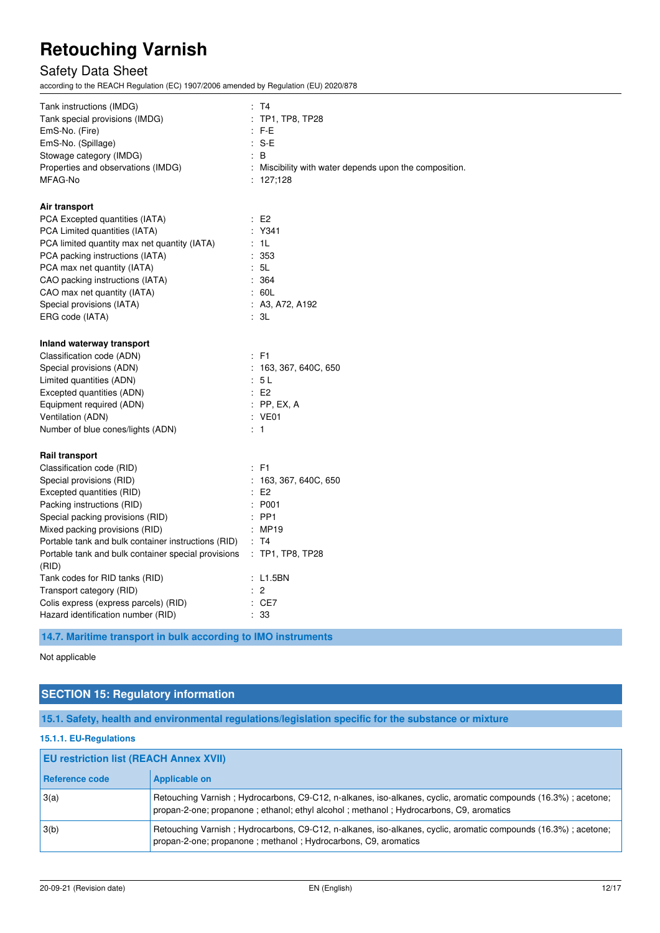### Safety Data Sheet

according to the REACH Regulation (EC) 1907/2006 amended by Regulation (EU) 2020/878

| Tank instructions (IMDG)<br>Tank special provisions (IMDG)<br>EmS-No. (Fire)<br>EmS-No. (Spillage)<br>Stowage category (IMDG)<br>Properties and observations (IMDG)<br>MFAG-No | : T4<br>$:$ TP1, TP8, TP28<br>$:$ F-E<br>$: S-E$<br>: B<br>Miscibility with water depends upon the composition.<br>: 127,128 |
|--------------------------------------------------------------------------------------------------------------------------------------------------------------------------------|------------------------------------------------------------------------------------------------------------------------------|
| Air transport                                                                                                                                                                  |                                                                                                                              |
| PCA Excepted quantities (IATA)                                                                                                                                                 | E2                                                                                                                           |
| PCA Limited quantities (IATA)                                                                                                                                                  | $:$ Y341                                                                                                                     |
| PCA limited quantity max net quantity (IATA)                                                                                                                                   | : 1L                                                                                                                         |
| PCA packing instructions (IATA)                                                                                                                                                | :353                                                                                                                         |
| PCA max net quantity (IATA)                                                                                                                                                    | : 5L                                                                                                                         |
| CAO packing instructions (IATA)                                                                                                                                                | : 364                                                                                                                        |
| CAO max net quantity (IATA)                                                                                                                                                    | : 60L                                                                                                                        |
| Special provisions (IATA)                                                                                                                                                      | : A3, A72, A192                                                                                                              |
| ERG code (IATA)                                                                                                                                                                | : 3L                                                                                                                         |
| Inland waterway transport                                                                                                                                                      |                                                                                                                              |
| Classification code (ADN)                                                                                                                                                      | $\therefore$ F1                                                                                                              |
| Special provisions (ADN)                                                                                                                                                       | : 163, 367, 640C, 650                                                                                                        |
| Limited quantities (ADN)                                                                                                                                                       | : 5L                                                                                                                         |
| Excepted quantities (ADN)                                                                                                                                                      | E2                                                                                                                           |
| Equipment required (ADN)                                                                                                                                                       | $:$ PP, EX, A                                                                                                                |
| Ventilation (ADN)                                                                                                                                                              | : VE01                                                                                                                       |
| Number of blue cones/lights (ADN)                                                                                                                                              | $\therefore$ 1                                                                                                               |
| Rail transport                                                                                                                                                                 |                                                                                                                              |
| Classification code (RID)                                                                                                                                                      | : F1                                                                                                                         |
| Special provisions (RID)                                                                                                                                                       | : 163, 367, 640C, 650                                                                                                        |
| Excepted quantities (RID)                                                                                                                                                      | E2                                                                                                                           |
| Packing instructions (RID)                                                                                                                                                     | : P001                                                                                                                       |
| Special packing provisions (RID)                                                                                                                                               | $:$ PP1                                                                                                                      |
| Mixed packing provisions (RID)                                                                                                                                                 | : MP19                                                                                                                       |
| Portable tank and bulk container instructions (RID)                                                                                                                            | : T4                                                                                                                         |
| Portable tank and bulk container special provisions<br>(RID)                                                                                                                   | : TP1, TP8, TP28                                                                                                             |
| Tank codes for RID tanks (RID)                                                                                                                                                 | : L1.5BN                                                                                                                     |
| Transport category (RID)                                                                                                                                                       | $\therefore$ 2                                                                                                               |
| Colis express (express parcels) (RID)                                                                                                                                          | : CE7                                                                                                                        |
| Hazard identification number (RID)                                                                                                                                             | : 33                                                                                                                         |

**14.7. Maritime transport in bulk according to IMO instruments** 

#### Not applicable

### **SECTION 15: Regulatory information**

**15.1. Safety, health and environmental regulations/legislation specific for the substance or mixture** 

#### **15.1.1. EU-Regulations**

| <b>EU restriction list (REACH Annex XVII)</b> |                                                                                                                                                                                                          |  |
|-----------------------------------------------|----------------------------------------------------------------------------------------------------------------------------------------------------------------------------------------------------------|--|
| Reference code                                | <b>Applicable on</b>                                                                                                                                                                                     |  |
| 3(a)                                          | Retouching Varnish; Hydrocarbons, C9-C12, n-alkanes, iso-alkanes, cyclic, aromatic compounds (16.3%); acetone;<br>propan-2-one; propanone; ethanol; ethyl alcohol; methanol; Hydrocarbons, C9, aromatics |  |
| 3(b)                                          | Retouching Varnish; Hydrocarbons, C9-C12, n-alkanes, iso-alkanes, cyclic, aromatic compounds (16.3%); acetone;<br>propan-2-one; propanone; methanol; Hydrocarbons, C9, aromatics                         |  |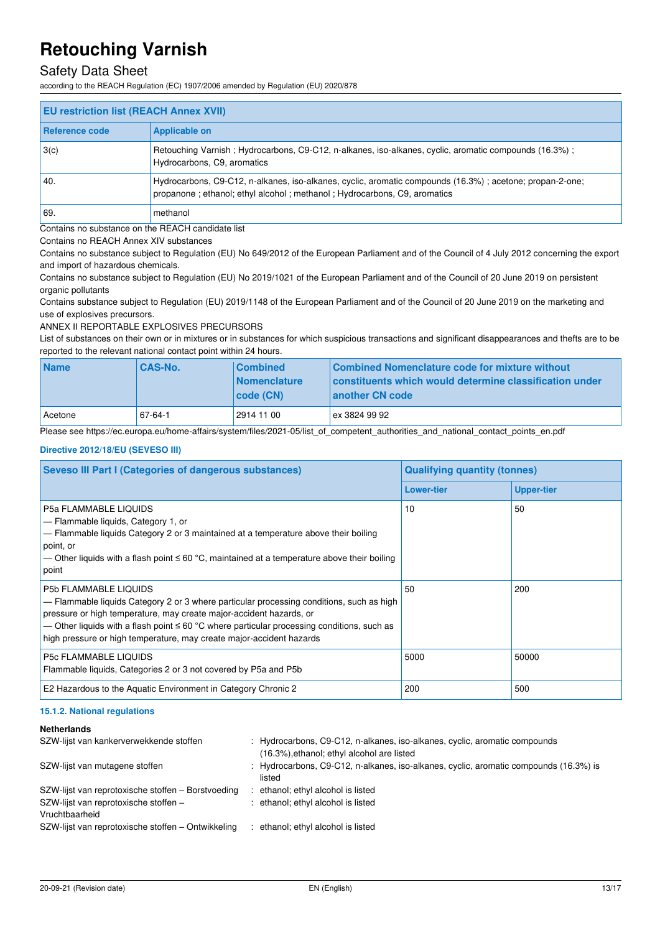### Safety Data Sheet

according to the REACH Regulation (EC) 1907/2006 amended by Regulation (EU) 2020/878

| <b>EU restriction list (REACH Annex XVII)</b>     |                                                                                                                                                                                         |  |
|---------------------------------------------------|-----------------------------------------------------------------------------------------------------------------------------------------------------------------------------------------|--|
| Reference code                                    | <b>Applicable on</b>                                                                                                                                                                    |  |
| 3(c)                                              | Retouching Varnish; Hydrocarbons, C9-C12, n-alkanes, iso-alkanes, cyclic, aromatic compounds (16.3%);<br>Hydrocarbons, C9, aromatics                                                    |  |
| 40.                                               | Hydrocarbons, C9-C12, n-alkanes, iso-alkanes, cyclic, aromatic compounds (16.3%); acetone; propan-2-one;<br>propanone : ethanol: ethyl alcohol : methanol : Hydrocarbons, C9, aromatics |  |
| l 69.                                             | methanol                                                                                                                                                                                |  |
| Contains no substance on the REACH candidate list |                                                                                                                                                                                         |  |

Contains no REACH Annex XIV substances

Contains no substance subject to Regulation (EU) No 649/2012 of the European Parliament and of the Council of 4 July 2012 concerning the export and import of hazardous chemicals.

Contains no substance subject to Regulation (EU) No 2019/1021 of the European Parliament and of the Council of 20 June 2019 on persistent organic pollutants

Contains substance subject to Regulation (EU) 2019/1148 of the European Parliament and of the Council of 20 June 2019 on the marketing and use of explosives precursors.

ANNEX II REPORTABLE EXPLOSIVES PRECURSORS

List of substances on their own or in mixtures or in substances for which suspicious transactions and significant disappearances and thefts are to be reported to the relevant national contact point within 24 hours.

| <b>Name</b> | <b>CAS-No.</b> | <b>Combined</b><br><b>Nomenclature</b><br>  code (CN) | Combined Nomenclature code for mixture without<br>constituents which would determine classification under<br>another CN code |
|-------------|----------------|-------------------------------------------------------|------------------------------------------------------------------------------------------------------------------------------|
| Acetone     | 67-64-1        | 2914 11 00                                            | ex 3824 99 92                                                                                                                |

Please see https://ec.europa.eu/home-affairs/system/files/2021-05/list\_of\_competent\_authorities\_and\_national\_contact\_points\_en.pdf

#### **Directive 2012/18/EU (SEVESO III)**

| <b>Seveso III Part I (Categories of dangerous substances)</b>                                                                                                                                                                                                                                                                                                              | <b>Qualifying quantity (tonnes)</b> |                   |  |
|----------------------------------------------------------------------------------------------------------------------------------------------------------------------------------------------------------------------------------------------------------------------------------------------------------------------------------------------------------------------------|-------------------------------------|-------------------|--|
|                                                                                                                                                                                                                                                                                                                                                                            | <b>Lower-tier</b>                   | <b>Upper-tier</b> |  |
| <b>P5a FLAMMABLE LIQUIDS</b><br>- Flammable liquids, Category 1, or<br>- Flammable liquids Category 2 or 3 maintained at a temperature above their boiling<br>point, or<br>— Other liquids with a flash point $\leq 60$ °C, maintained at a temperature above their boiling<br>point                                                                                       | 10                                  | 50                |  |
| <b>P5b FLAMMABLE LIQUIDS</b><br>- Flammable liquids Category 2 or 3 where particular processing conditions, such as high<br>pressure or high temperature, may create major-accident hazards, or<br>— Other liquids with a flash point $\leq 60$ °C where particular processing conditions, such as<br>high pressure or high temperature, may create major-accident hazards | 50                                  | 200               |  |
| <b>P5c FLAMMABLE LIQUIDS</b><br>Flammable liquids, Categories 2 or 3 not covered by P5a and P5b                                                                                                                                                                                                                                                                            | 5000                                | 50000             |  |
| E2 Hazardous to the Aquatic Environment in Category Chronic 2                                                                                                                                                                                                                                                                                                              | 200                                 | 500               |  |

#### **15.1.2. National regulations**

#### **Netherlands**

| SZW-lijst van kankerverwekkende stoffen            | : Hydrocarbons, C9-C12, n-alkanes, iso-alkanes, cyclic, aromatic compounds<br>(16.3%), ethanol; ethyl alcohol are listed |
|----------------------------------------------------|--------------------------------------------------------------------------------------------------------------------------|
| SZW-lijst van mutagene stoffen                     | : Hydrocarbons, C9-C12, n-alkanes, iso-alkanes, cyclic, aromatic compounds (16.3%) is<br>listed                          |
| SZW-lijst van reprotoxische stoffen – Borstvoeding | ethanol; ethyl alcohol is listed                                                                                         |
| SZW-lijst van reprotoxische stoffen -              | : ethanol; ethyl alcohol is listed                                                                                       |
| Vruchtbaarheid                                     |                                                                                                                          |
| SZW-lijst van reprotoxische stoffen - Ontwikkeling | ethanol; ethyl alcohol is listed                                                                                         |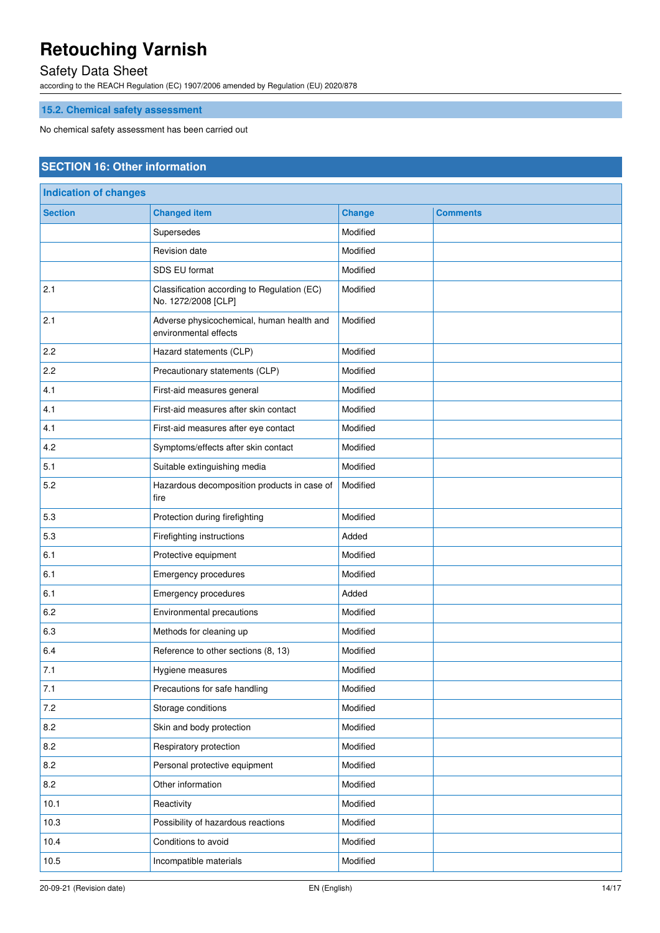### Safety Data Sheet

according to the REACH Regulation (EC) 1907/2006 amended by Regulation (EU) 2020/878

### **15.2. Chemical safety assessment**

No chemical safety assessment has been carried out

### **SECTION 16: Other information**

| <b>Indication of changes</b> |                                                                    |               |                 |
|------------------------------|--------------------------------------------------------------------|---------------|-----------------|
| <b>Section</b>               | <b>Changed item</b>                                                | <b>Change</b> | <b>Comments</b> |
|                              | Supersedes                                                         | Modified      |                 |
|                              | Revision date                                                      | Modified      |                 |
|                              | SDS EU format                                                      | Modified      |                 |
| 2.1                          | Classification according to Regulation (EC)<br>No. 1272/2008 [CLP] | Modified      |                 |
| 2.1                          | Adverse physicochemical, human health and<br>environmental effects | Modified      |                 |
| 2.2                          | Hazard statements (CLP)                                            | Modified      |                 |
| 2.2                          | Precautionary statements (CLP)                                     | Modified      |                 |
| 4.1                          | First-aid measures general                                         | Modified      |                 |
| 4.1                          | First-aid measures after skin contact                              | Modified      |                 |
| 4.1                          | First-aid measures after eye contact                               | Modified      |                 |
| 4.2                          | Symptoms/effects after skin contact                                | Modified      |                 |
| 5.1                          | Suitable extinguishing media                                       | Modified      |                 |
| 5.2                          | Hazardous decomposition products in case of<br>fire                | Modified      |                 |
| 5.3                          | Protection during firefighting                                     | Modified      |                 |
| 5.3                          | Firefighting instructions                                          | Added         |                 |
| 6.1                          | Protective equipment                                               | Modified      |                 |
| 6.1                          | Emergency procedures                                               | Modified      |                 |
| 6.1                          | Emergency procedures                                               | Added         |                 |
| 6.2                          | Environmental precautions                                          | Modified      |                 |
| 6.3                          | Methods for cleaning up                                            | Modified      |                 |
| 6.4                          | Reference to other sections (8, 13)                                | Modified      |                 |
| 7.1                          | Hygiene measures                                                   | Modified      |                 |
| 7.1                          | Precautions for safe handling                                      | Modified      |                 |
| 7.2                          | Storage conditions                                                 | Modified      |                 |
| 8.2                          | Skin and body protection                                           | Modified      |                 |
| 8.2                          | Respiratory protection                                             | Modified      |                 |
| 8.2                          | Personal protective equipment                                      | Modified      |                 |
| 8.2                          | Other information                                                  | Modified      |                 |
| 10.1                         | Reactivity                                                         | Modified      |                 |
| 10.3                         | Possibility of hazardous reactions                                 | Modified      |                 |
| 10.4                         | Conditions to avoid                                                | Modified      |                 |
| 10.5                         | Incompatible materials                                             | Modified      |                 |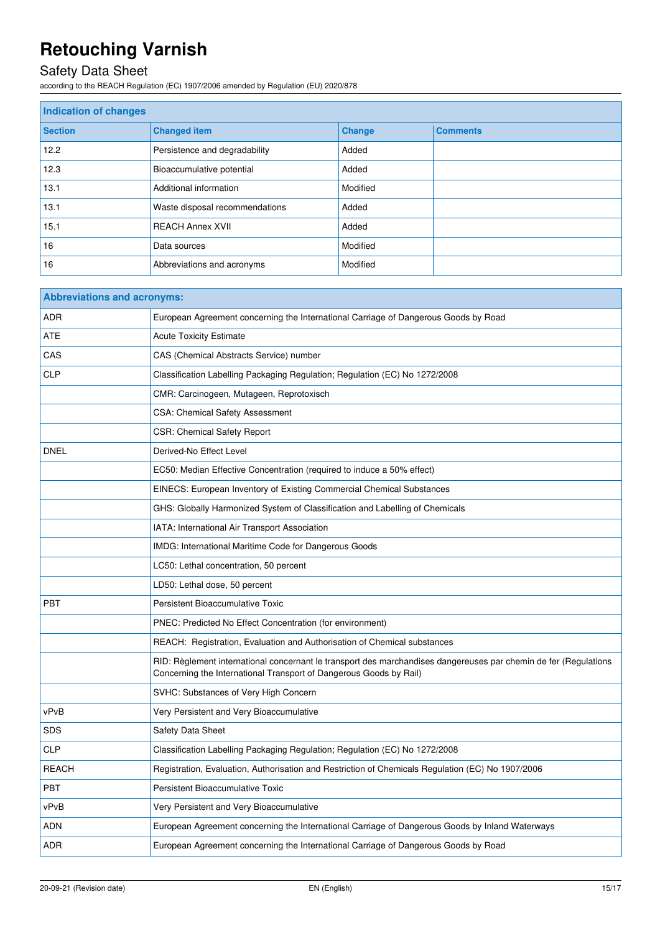## Safety Data Sheet

according to the REACH Regulation (EC) 1907/2006 amended by Regulation (EU) 2020/878

| <b>Indication of changes</b> |                                |               |                 |
|------------------------------|--------------------------------|---------------|-----------------|
| <b>Section</b>               | <b>Changed item</b>            | <b>Change</b> | <b>Comments</b> |
| 12.2                         | Persistence and degradability  | Added         |                 |
| 12.3                         | Bioaccumulative potential      | Added         |                 |
| 13.1                         | Additional information         | Modified      |                 |
| 13.1                         | Waste disposal recommendations | Added         |                 |
| 15.1                         | <b>REACH Annex XVII</b>        | Added         |                 |
| 16                           | Data sources                   | Modified      |                 |
| 16                           | Abbreviations and acronyms     | Modified      |                 |

| <b>Abbreviations and acronyms:</b> |                                                                                                                                                                                        |  |
|------------------------------------|----------------------------------------------------------------------------------------------------------------------------------------------------------------------------------------|--|
| <b>ADR</b>                         | European Agreement concerning the International Carriage of Dangerous Goods by Road                                                                                                    |  |
| <b>ATE</b>                         | <b>Acute Toxicity Estimate</b>                                                                                                                                                         |  |
| CAS                                | CAS (Chemical Abstracts Service) number                                                                                                                                                |  |
| <b>CLP</b>                         | Classification Labelling Packaging Regulation; Regulation (EC) No 1272/2008                                                                                                            |  |
|                                    | CMR: Carcinogeen, Mutageen, Reprotoxisch                                                                                                                                               |  |
|                                    | <b>CSA: Chemical Safety Assessment</b>                                                                                                                                                 |  |
|                                    | CSR: Chemical Safety Report                                                                                                                                                            |  |
| <b>DNEL</b>                        | Derived-No Effect Level                                                                                                                                                                |  |
|                                    | EC50: Median Effective Concentration (required to induce a 50% effect)                                                                                                                 |  |
|                                    | EINECS: European Inventory of Existing Commercial Chemical Substances                                                                                                                  |  |
|                                    | GHS: Globally Harmonized System of Classification and Labelling of Chemicals                                                                                                           |  |
|                                    | IATA: International Air Transport Association                                                                                                                                          |  |
|                                    | <b>IMDG: International Maritime Code for Dangerous Goods</b>                                                                                                                           |  |
|                                    | LC50: Lethal concentration, 50 percent                                                                                                                                                 |  |
|                                    | LD50: Lethal dose, 50 percent                                                                                                                                                          |  |
| PBT                                | <b>Persistent Bioaccumulative Toxic</b>                                                                                                                                                |  |
|                                    | PNEC: Predicted No Effect Concentration (for environment)                                                                                                                              |  |
|                                    | REACH: Registration, Evaluation and Authorisation of Chemical substances                                                                                                               |  |
|                                    | RID: Règlement international concernant le transport des marchandises dangereuses par chemin de fer (Regulations<br>Concerning the International Transport of Dangerous Goods by Rail) |  |
|                                    | SVHC: Substances of Very High Concern                                                                                                                                                  |  |
| vPvB                               | Very Persistent and Very Bioaccumulative                                                                                                                                               |  |
| SDS                                | <b>Safety Data Sheet</b>                                                                                                                                                               |  |
| <b>CLP</b>                         | Classification Labelling Packaging Regulation; Regulation (EC) No 1272/2008                                                                                                            |  |
| <b>REACH</b>                       | Registration, Evaluation, Authorisation and Restriction of Chemicals Regulation (EC) No 1907/2006                                                                                      |  |
| <b>PBT</b>                         | <b>Persistent Bioaccumulative Toxic</b>                                                                                                                                                |  |
| vPvB                               | Very Persistent and Very Bioaccumulative                                                                                                                                               |  |
| <b>ADN</b>                         | European Agreement concerning the International Carriage of Dangerous Goods by Inland Waterways                                                                                        |  |
| <b>ADR</b>                         | European Agreement concerning the International Carriage of Dangerous Goods by Road                                                                                                    |  |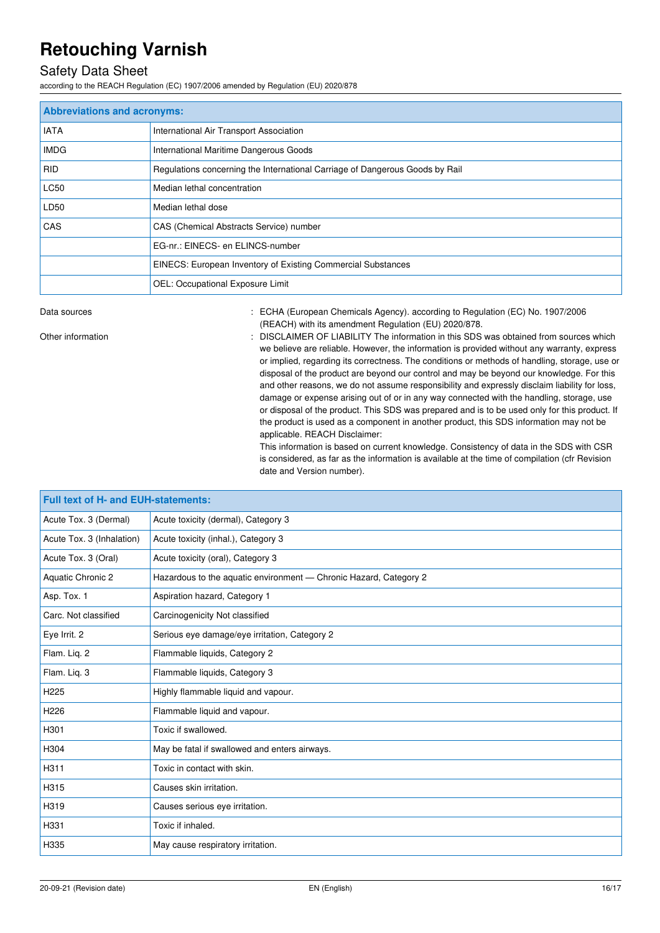### Safety Data Sheet

according to the REACH Regulation (EC) 1907/2006 amended by Regulation (EU) 2020/878

| <b>Abbreviations and acronyms:</b> |                                                                              |  |
|------------------------------------|------------------------------------------------------------------------------|--|
| <b>IATA</b>                        | International Air Transport Association                                      |  |
| <b>IMDG</b>                        | International Maritime Dangerous Goods                                       |  |
| <b>RID</b>                         | Regulations concerning the International Carriage of Dangerous Goods by Rail |  |
| LC50                               | Median lethal concentration                                                  |  |
| LD50                               | Median lethal dose                                                           |  |
| CAS                                | CAS (Chemical Abstracts Service) number                                      |  |
|                                    | EG-nr.: EINECS- en ELINCS-number                                             |  |
|                                    | EINECS: European Inventory of Existing Commercial Substances                 |  |
|                                    | OEL: Occupational Exposure Limit                                             |  |

Data sources **1997/2006** : ECHA (European Chemicals Agency). according to Regulation (EC) No. 1907/2006 (REACH) with its amendment Regulation (EU) 2020/878.

Other information **interest in the information** : DISCLAIMER OF LIABILITY The information in this SDS was obtained from sources which we believe are reliable. However, the information is provided without any warranty, express or implied, regarding its correctness. The conditions or methods of handling, storage, use or disposal of the product are beyond our control and may be beyond our knowledge. For this and other reasons, we do not assume responsibility and expressly disclaim liability for loss, damage or expense arising out of or in any way connected with the handling, storage, use or disposal of the product. This SDS was prepared and is to be used only for this product. If the product is used as a component in another product, this SDS information may not be applicable. REACH Disclaimer:

This information is based on current knowledge. Consistency of data in the SDS with CSR is considered, as far as the information is available at the time of compilation (cfr Revision date and Version number).

| Full text of H- and EUH-statements: |                                                                   |  |
|-------------------------------------|-------------------------------------------------------------------|--|
| Acute Tox. 3 (Dermal)               | Acute toxicity (dermal), Category 3                               |  |
| Acute Tox. 3 (Inhalation)           | Acute toxicity (inhal.), Category 3                               |  |
| Acute Tox. 3 (Oral)                 | Acute toxicity (oral), Category 3                                 |  |
| Aquatic Chronic 2                   | Hazardous to the aquatic environment - Chronic Hazard, Category 2 |  |
| Asp. Tox. 1                         | Aspiration hazard, Category 1                                     |  |
| Carc. Not classified                | Carcinogenicity Not classified                                    |  |
| Eye Irrit. 2                        | Serious eye damage/eye irritation, Category 2                     |  |
| Flam. Lig. 2                        | Flammable liquids, Category 2                                     |  |
| Flam. Liq. 3                        | Flammable liquids, Category 3                                     |  |
| H <sub>225</sub>                    | Highly flammable liquid and vapour.                               |  |
| H <sub>226</sub>                    | Flammable liquid and vapour.                                      |  |
| H301                                | Toxic if swallowed.                                               |  |
| H304                                | May be fatal if swallowed and enters airways.                     |  |
| H311                                | Toxic in contact with skin.                                       |  |
| H315                                | Causes skin irritation.                                           |  |
| H319                                | Causes serious eye irritation.                                    |  |
| H331                                | Toxic if inhaled.                                                 |  |
| H335                                | May cause respiratory irritation.                                 |  |